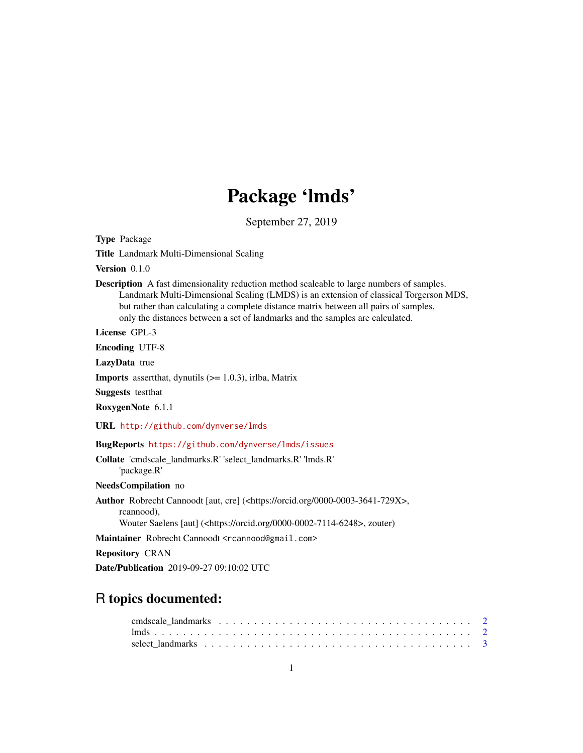# Package 'lmds'

September 27, 2019

<span id="page-0-0"></span>Type Package

Title Landmark Multi-Dimensional Scaling

Version 0.1.0

Description A fast dimensionality reduction method scaleable to large numbers of samples. Landmark Multi-Dimensional Scaling (LMDS) is an extension of classical Torgerson MDS, but rather than calculating a complete distance matrix between all pairs of samples, only the distances between a set of landmarks and the samples are calculated.

License GPL-3

Encoding UTF-8

LazyData true

**Imports** assert that, dynutils  $(>= 1.0.3)$ , irlba, Matrix

Suggests testthat

RoxygenNote 6.1.1

URL <http://github.com/dynverse/lmds>

BugReports <https://github.com/dynverse/lmds/issues>

Collate 'cmdscale\_landmarks.R' 'select\_landmarks.R' 'lmds.R' 'package.R'

NeedsCompilation no

Author Robrecht Cannoodt [aut, cre] (<https://orcid.org/0000-0003-3641-729X>, rcannood), Wouter Saelens [aut] (<https://orcid.org/0000-0002-7114-6248>, zouter)

Maintainer Robrecht Cannoodt <rcannood@gmail.com>

Repository CRAN

Date/Publication 2019-09-27 09:10:02 UTC

# R topics documented: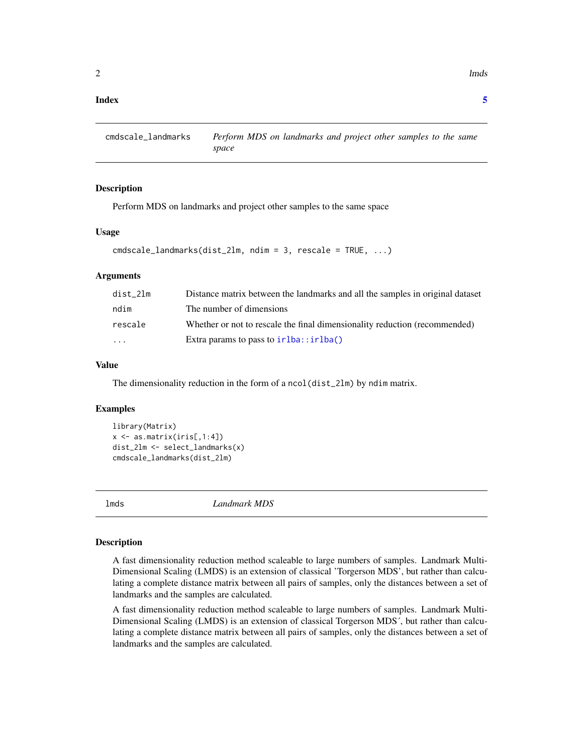#### <span id="page-1-0"></span>**Index** [5](#page-4-0). The second state of the second state of the second state of the second state of the second state of the second state of the second state of the second state of the second state of the second state of the second

cmdscale\_landmarks *Perform MDS on landmarks and project other samples to the same space*

#### Description

Perform MDS on landmarks and project other samples to the same space

#### Usage

```
cmdscale_landmarks(dist_2lm, ndim = 3, rescale = TRUE, ...)
```
#### Arguments

| dist 21m | Distance matrix between the landmarks and all the samples in original dataset |
|----------|-------------------------------------------------------------------------------|
| ndim     | The number of dimensions                                                      |
| rescale  | Whether or not to rescale the final dimensionality reduction (recommended)    |
| .        | Extra params to pass to $irlba::irlba()$                                      |

#### Value

The dimensionality reduction in the form of a ncol(dist\_2lm) by ndim matrix.

#### Examples

```
library(Matrix)
x \leq -as_matrix(iris[, 1:4])dist_2lm <- select_landmarks(x)
cmdscale_landmarks(dist_2lm)
```
lmds *Landmark MDS*

#### Description

A fast dimensionality reduction method scaleable to large numbers of samples. Landmark Multi-Dimensional Scaling (LMDS) is an extension of classical 'Torgerson MDS', but rather than calculating a complete distance matrix between all pairs of samples, only the distances between a set of landmarks and the samples are calculated.

A fast dimensionality reduction method scaleable to large numbers of samples. Landmark Multi-Dimensional Scaling (LMDS) is an extension of classical Torgerson MDS´, but rather than calculating a complete distance matrix between all pairs of samples, only the distances between a set of landmarks and the samples are calculated.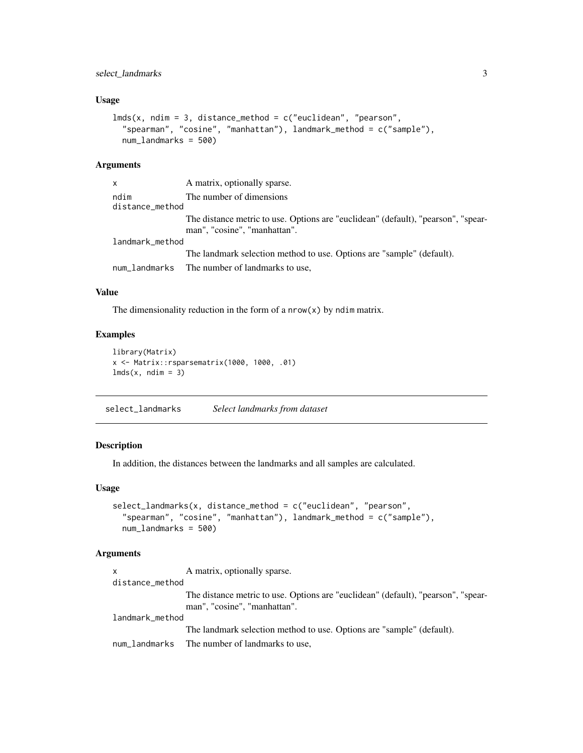#### <span id="page-2-0"></span>Usage

```
lmds(x, ndim = 3, distance_{method} = c("euclidean", "pearson","spearman", "cosine", "manhattan"), landmark_method = c("sample"),
 num_landmarks = 500)
```
#### Arguments

| x                       | A matrix, optionally sparse.                                                                                      |
|-------------------------|-------------------------------------------------------------------------------------------------------------------|
| ndim<br>distance_method | The number of dimensions                                                                                          |
|                         | The distance metric to use. Options are "euclidean" (default), "pearson", "spear-<br>man", "cosine", "manhattan". |
| landmark_method         |                                                                                                                   |
|                         | The landmark selection method to use. Options are "sample" (default).                                             |
|                         | num_landmarks The number of landmarks to use,                                                                     |

#### Value

The dimensionality reduction in the form of a  $nrow(x)$  by ndim matrix.

#### Examples

```
library(Matrix)
x <- Matrix::rsparsematrix(1000, 1000, .01)
lmds(x, ndim = 3)
```
select\_landmarks *Select landmarks from dataset*

#### Description

In addition, the distances between the landmarks and all samples are calculated.

#### Usage

```
select_landmarks(x, distance_method = c("euclidean", "pearson",
  "spearman", "cosine", "manhattan"), landmark_method = c("sample"),
 num_landmarks = 500)
```
#### Arguments

| <b>X</b>        | A matrix, optionally sparse.                                                                                      |
|-----------------|-------------------------------------------------------------------------------------------------------------------|
| distance_method |                                                                                                                   |
|                 | The distance metric to use. Options are "euclidean" (default), "pearson", "spear-<br>man", "cosine", "manhattan". |
| landmark_method |                                                                                                                   |
|                 | The landmark selection method to use. Options are "sample" (default).                                             |
|                 | num_landmarks The number of landmarks to use,                                                                     |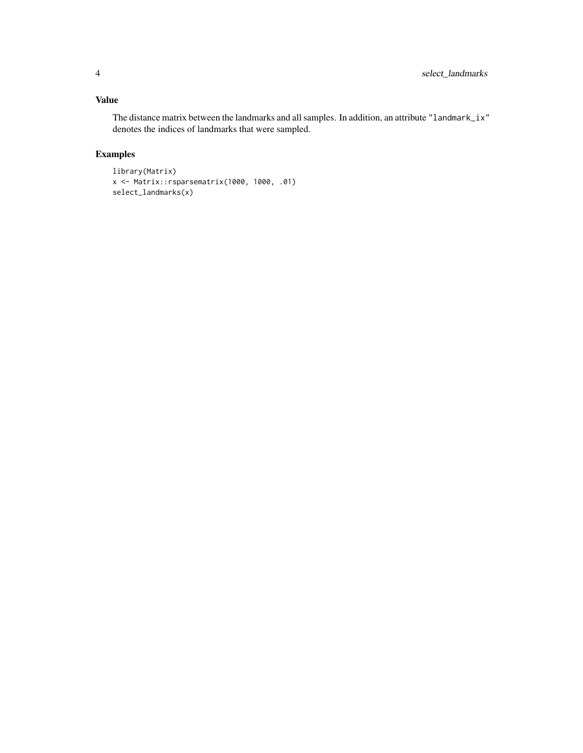### Value

The distance matrix between the landmarks and all samples. In addition, an attribute "landmark\_ix" denotes the indices of landmarks that were sampled.

## Examples

```
library(Matrix)
x <- Matrix::rsparsematrix(1000, 1000, .01)
select_landmarks(x)
```